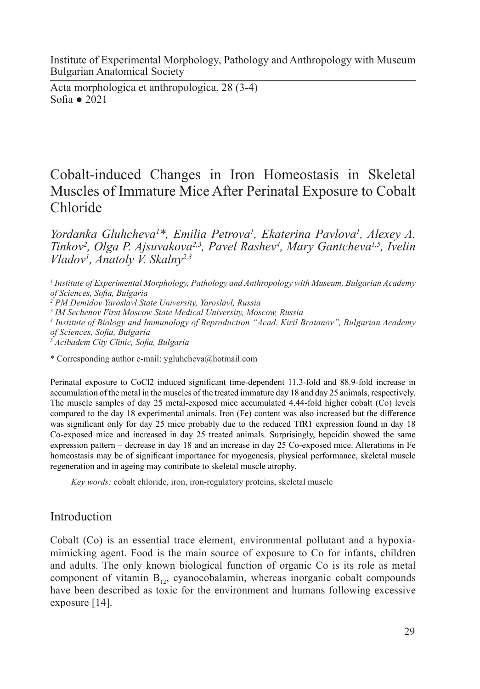Institute of Experimental Morphology, Pathology and Anthropology with Museum Bulgarian Anatomical Society

Acta morphologica et anthropologica, 28 (3-4) Sofia ● 2021

# Cobalt-induced Changes in Iron Homeostasis in Skeletal Muscles of Immature Mice After Perinatal Exposure to Cobalt Chloride

*Yordanka Gluhcheva1 \*, Emilia Petrova1 , Ekaterina Pavlova1 , Alexey A.*  Tinkov<sup>2</sup>, Olga P. Ajsuvakova<sup>2,3</sup>, Pavel Rashev<sup>4</sup>, Mary Gantcheva<sup>1,5</sup>, Ivelin *Vladov1 , Anatoly V. Skalny2,3*

*2 PM Demidov Yaroslavl State University, Yaroslavl, Russia*

*3 IM Sechenov First Moscow State Medical University, Moscow, Russia*

*4 Institute of Biology and Immunology of Reproduction "Acad. Kiril Bratanov", Bulgarian Academy of Sciences, Sofia, Bulgaria*

*5 Acibadem City Clinic, Sofia, Bulgaria*

\* Corresponding author e-mail: ygluhcheva@hotmail.com

Perinatal exposure to CoCl2 induced significant time-dependent 11.3-fold and 88.9-fold increase in accumulation of the metal in the muscles of the treated immature day 18 and day 25 animals, respectively. The muscle samples of day 25 metal-exposed mice accumulated 4.44-fold higher cobalt (Co) levels compared to the day 18 experimental animals. Iron (Fe) content was also increased but the difference was significant only for day 25 mice probably due to the reduced TfR1 expression found in day 18 Co-exposed mice and increased in day 25 treated animals. Surprisingly, hepcidin showed the same expression pattern – decrease in day 18 and an increase in day 25 Co-exposed mice. Alterations in Fe homeostasis may be of significant importance for myogenesis, physical performance, skeletal muscle regeneration and in ageing may contribute to skeletal muscle atrophy.

*Key words:* cobalt chloride, iron, iron-regulatory proteins, skeletal muscle

# Introduction

Cobalt (Co) is an essential trace element, environmental pollutant and a hypoxiamimicking agent. Food is the main source of exposure to Co for infants, children and adults. The only known biological function of organic Co is its role as metal component of vitamin  $B_{12}$ , cyanocobalamin, whereas inorganic cobalt compounds have been described as toxic for the environment and humans following excessive exposure [14].

*<sup>1</sup> Institute of Experimental Morphology, Pathology and Anthropology with Museum, Bulgarian Academy of Sciences, Sofia, Bulgaria*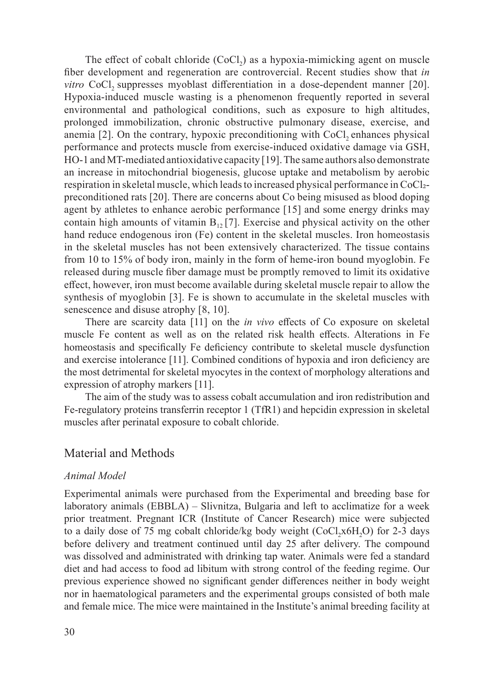The effect of cobalt chloride  $(CoCl<sub>2</sub>)$  as a hypoxia-mimicking agent on muscle fiber development and regeneration are controvercial. Recent studies show that *in vitro* CoCl<sub>2</sub> suppresses myoblast differentiation in a dose-dependent manner [20]. Hypoxia-induced muscle wasting is a phenomenon frequently reported in several environmental and pathological conditions, such as exposure to high altitudes, prolonged immobilization, chronic obstructive pulmonary disease, exercise, and anemia  $[2]$ . On the contrary, hypoxic preconditioning with CoCl<sub>2</sub> enhances physical performance and protects muscle from exercise-induced oxidative damage via GSH, HO-1 and MT-mediated antioxidative capacity [19]. The same authors also demonstrate an increase in mitochondrial biogenesis, glucose uptake and metabolism by aerobic respiration in skeletal muscle, which leads to increased physical performance in CoCl2preconditioned rats [20]. There are concerns about Co being misused as blood doping agent by athletes to enhance aerobic performance [15] and some energy drinks may contain high amounts of vitamin  $B_{12}$  [7]. Exercise and physical activity on the other hand reduce endogenous iron (Fe) content in the skeletal muscles. Iron homeostasis in the skeletal muscles has not been extensively characterized. The tissue contains from 10 to 15% of body iron, mainly in the form of heme-iron bound myoglobin. Fe released during muscle fiber damage must be promptly removed to limit its oxidative effect, however, iron must become available during skeletal muscle repair to allow the synthesis of myoglobin [3]. Fe is shown to accumulate in the skeletal muscles with senescence and disuse atrophy [8, 10].

There are scarcity data [11] on the *in vivo* effects of Co exposure on skeletal muscle Fe content as well as on the related risk health effects. Alterations in Fe homeostasis and specifically Fe deficiency contribute to skeletal muscle dysfunction and exercise intolerance [11]. Combined conditions of hypoxia and iron deficiency are the most detrimental for skeletal myocytes in the context of morphology alterations and expression of atrophy markers [11].

The aim of the study was to assess cobalt accumulation and iron redistribution and Fe-regulatory proteins transferrin receptor 1 (TfR1) and hepcidin expression in skeletal muscles after perinatal exposure to cobalt chloride.

#### Material and Methods

#### *Animal Model*

Experimental animals were purchased from the Experimental and breeding base for laboratory animals (EBBLA) – Slivnitza, Bulgaria and left to acclimatize for a week prior treatment. Pregnant ICR (Institute of Cancer Research) mice were subjected to a daily dose of 75 mg cobalt chloride/kg body weight  $(CoCl, x6H, O)$  for 2-3 days before delivery and treatment continued until day 25 after delivery. The compound was dissolved and administrated with drinking tap water. Animals were fed a standard diet and had access to food ad libitum with strong control of the feeding regime. Our previous experience showed no significant gender differences neither in body weight nor in haematological parameters and the experimental groups consisted of both male and female mice. The mice were maintained in the Institute's animal breeding facility at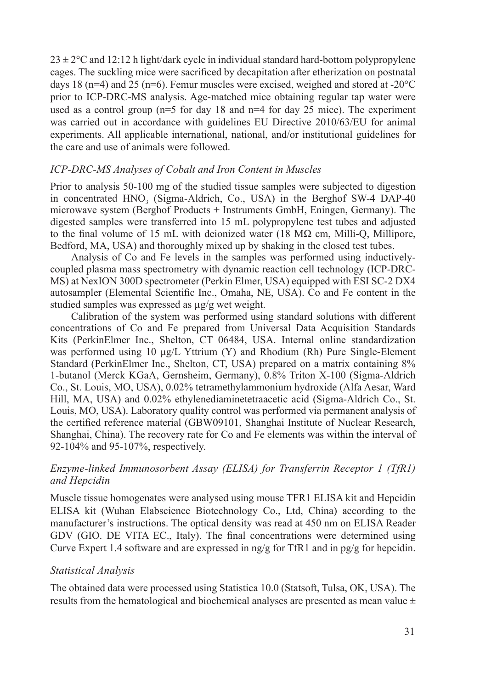$23 \pm 2$ °C and 12:12 h light/dark cycle in individual standard hard-bottom polypropylene cages. The suckling mice were sacrificed by decapitation after etherization on postnatal days 18 (n=4) and 25 (n=6). Femur muscles were excised, weighed and stored at -20 $^{\circ}$ C prior to ICP-DRC-MS analysis. Age-matched mice obtaining regular tap water were used as a control group ( $n=5$  for day 18 and  $n=4$  for day 25 mice). The experiment was carried out in accordance with guidelines EU Directive 2010/63/EU for animal experiments. All applicable international, national, and/or institutional guidelines for the care and use of animals were followed.

#### *ICP-DRC-MS Analyses of Cobalt and Iron Content in Muscles*

Prior to analysis 50-100 mg of the studied tissue samples were subjected to digestion in concentrated HNO<sub>3</sub> (Sigma-Aldrich, Co., USA) in the Berghof SW-4 DAP-40 microwave system (Berghof Products + Instruments GmbH, Eningen, Germany). The digested samples were transferred into 15 mL polypropylene test tubes and adjusted to the final volume of 15 mL with deionized water (18 MΩ cm, Milli-Q, Millipore, Bedford, MA, USA) and thoroughly mixed up by shaking in the closed test tubes.

Analysis of Co and Fe levels in the samples was performed using inductivelycoupled plasma mass spectrometry with dynamic reaction cell technology (ICP-DRC-MS) at NexION 300D spectrometer (Perkin Elmer, USA) equipped with ESI SC-2 DX4 autosampler (Elemental Scientific Inc., Omaha, NE, USA). Co and Fe content in the studied samples was expressed as µg/g wet weight.

Calibration of the system was performed using standard solutions with different concentrations of Co and Fe prepared from Universal Data Acquisition Standards Kits (PerkinElmer Inc., Shelton, CT 06484, USA. Internal online standardization was performed using 10 μg/L Yttrium (Y) and Rhodium (Rh) Pure Single-Element Standard (PerkinElmer Inc., Shelton, CT, USA) prepared on a matrix containing 8% 1-butanol (Merck KGaA, Gernsheim, Germany), 0.8% Triton X-100 (Sigma-Aldrich Co., St. Louis, MO, USA), 0.02% tetramethylammonium hydroxide (Alfa Aesar, Ward Hill, MA, USA) and 0.02% ethylenediaminetetraacetic acid (Sigma-Aldrich Co., St. Louis, MO, USA). Laboratory quality control was performed via permanent analysis of the certified reference material (GBW09101, Shanghai Institute of Nuclear Research, Shanghai, China). The recovery rate for Co and Fe elements was within the interval of 92-104% and 95-107%, respectively.

## *Enzyme-linked Immunosorbent Assay (ELISA) for Transferrin Receptor 1 (TfR1) and Hepcidin*

Muscle tissue homogenates were analysed using mouse TFR1 ELISA kit and Hepcidin ELISA kit (Wuhan Elabscience Biotechnology Co., Ltd, China) according to the manufacturer's instructions. The optical density was read at 450 nm on ELISA Reader GDV (GIO. DE VITA EC., Italy). The final concentrations were determined using Curve Expert 1.4 software and are expressed in  $\frac{mg}{g}$  for TfR1 and in  $\frac{pg}{g}$  for hepcidin.

#### *Statistical Analysis*

The obtained data were processed using Statistica 10.0 (Statsoft, Tulsa, OK, USA). The results from the hematological and biochemical analyses are presented as mean value ±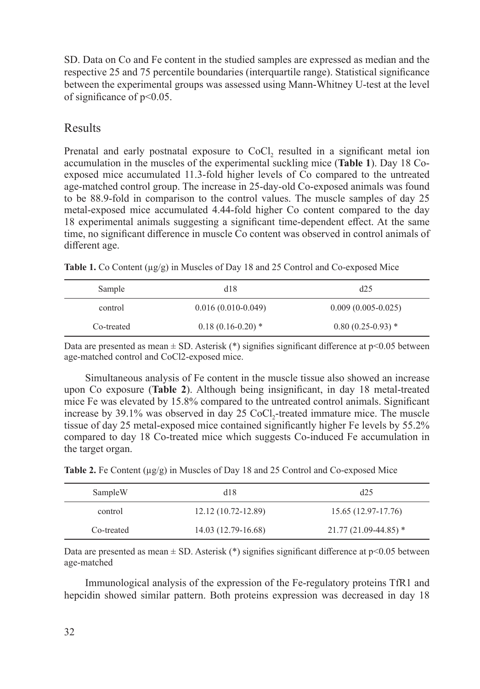SD. Data on Co and Fe content in the studied samples are expressed as median and the respective 25 and 75 percentile boundaries (interquartile range). Statistical significance between the experimental groups was assessed using Mann-Whitney U-test at the level of significance of p<0.05.

# Results

Prenatal and early postnatal exposure to CoCl, resulted in a significant metal ion accumulation in the muscles of the experimental suckling mice (**Table 1**). Day 18 Coexposed mice accumulated 11.3-fold higher levels of Co compared to the untreated age-matched control group. The increase in 25-day-old Co-exposed animals was found to be 88.9-fold in comparison to the control values. The muscle samples of day 25 metal-exposed mice accumulated 4.44-fold higher Co content compared to the day 18 experimental animals suggesting a significant time-dependent effect. At the same time, no significant difference in muscle Co content was observed in control animals of different age.

Table 1. Co Content ( $\mu$ g/g) in Muscles of Day 18 and 25 Control and Co-exposed Mice

| Sample     | d18                  | d25                  |
|------------|----------------------|----------------------|
| control    | $0.016(0.010-0.049)$ | $0.009(0.005-0.025)$ |
| Co-treated | $0.18(0.16-0.20)$ *  | $0.80(0.25-0.93)$ *  |

Data are presented as mean  $\pm$  SD. Asterisk (\*) signifies significant difference at p<0.05 between age-matched control and CoCl2-exposed mice.

Simultaneous analysis of Fe content in the muscle tissue also showed an increase upon Co exposure (**Table 2**). Although being insignificant, in day 18 metal-treated mice Fe was elevated by 15.8% compared to the untreated control animals. Significant increase by  $39.1\%$  was observed in day  $25$  CoCl<sub>2</sub>-treated immature mice. The muscle tissue of day 25 metal-exposed mice contained significantly higher Fe levels by 55.2% compared to day 18 Co-treated mice which suggests Co-induced Fe accumulation in the target organ.

| Table 2. Fe Content $(\mu g/g)$ in Muscles of Day 18 and 25 Control and Co-exposed Mice |  |  |  |  |
|-----------------------------------------------------------------------------------------|--|--|--|--|
|-----------------------------------------------------------------------------------------|--|--|--|--|

| SampleW    | d18                 | d25                    |
|------------|---------------------|------------------------|
| control    | 12.12 (10.72-12.89) | 15.65 (12.97-17.76)    |
| Co-treated | 14.03 (12.79-16.68) | $21.77(21.09-44.85)$ * |

Data are presented as mean  $\pm$  SD. Asterisk (\*) signifies significant difference at  $p$ <0.05 between age-matched

Immunological analysis of the expression of the Fe-regulatory proteins TfR1 and hepcidin showed similar pattern. Both proteins expression was decreased in day 18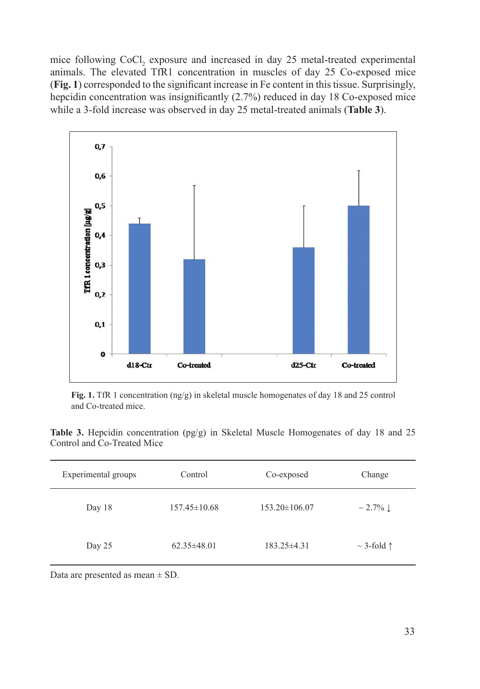mice following CoCl, exposure and increased in day 25 metal-treated experimental animals. The elevated TfR1 concentration in muscles of day 25 Co-exposed mice (**Fig. 1**) corresponded to the significant increase in Fe content in this tissue. Surprisingly, hepcidin concentration was insignificantly (2.7%) reduced in day 18 Co-exposed mice while a 3-fold increase was observed in day 25 metal-treated animals (**Table 3**).



**Fig. 1.** TfR 1 concentration (ng/g) in skeletal muscle homogenates of day 18 and 25 control and Co-treated mice.

**Table 3.** Hepcidin concentration (pg/g) in Skeletal Muscle Homogenates of day 18 and 25 Control and Co-Treated Mice

| Experimental groups | Control            | Co-exposed          | Change                   |
|---------------------|--------------------|---------------------|--------------------------|
| Day 18              | $157.45 \pm 10.68$ | $153.20 \pm 106.07$ | $\sim$ 2.7% $\downarrow$ |
| Day 25              | $62.35\pm48.01$    | $183.25 \pm 4.31$   | $\sim$ 3-fold $\uparrow$ |

Data are presented as mean  $\pm$  SD.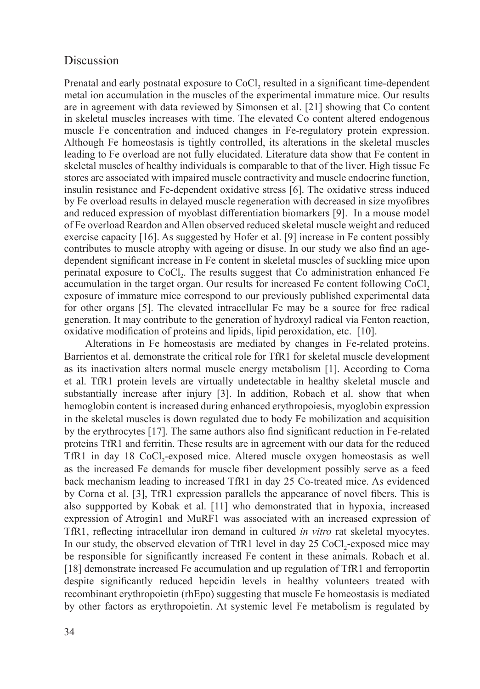## **Discussion**

Prenatal and early postnatal exposure to CoCl<sub>2</sub> resulted in a significant time-dependent metal ion accumulation in the muscles of the experimental immature mice. Our results are in agreement with data reviewed by Simonsen et al. [21] showing that Co content in skeletal muscles increases with time. The elevated Co content altered endogenous muscle Fe concentration and induced changes in Fe-regulatory protein expression. Although Fe homeostasis is tightly controlled, its alterations in the skeletal muscles leading to Fe overload are not fully elucidated. Literature data show that Fe content in skeletal muscles of healthy individuals is comparable to that of the liver. High tissue Fe stores are associated with impaired muscle contractivity and muscle endocrine function, insulin resistance and Fe-dependent oxidative stress [6]. The oxidative stress induced by Fe overload results in delayed muscle regeneration with decreased in size myofibres and reduced expression of myoblast differentiation biomarkers [9]. In a mouse model of Fe overload Reardon and Allen observed reduced skeletal muscle weight and reduced exercise capacity [16]. As suggested by Hofer et al. [9] increase in Fe content possibly contributes to muscle atrophy with ageing or disuse. In our study we also find an agedependent significant increase in Fe content in skeletal muscles of suckling mice upon perinatal exposure to CoCl<sub>2</sub>. The results suggest that Co administration enhanced Fe accumulation in the target organ. Our results for increased Fe content following CoCl, exposure of immature mice correspond to our previously published experimental data for other organs [5]. The elevated intracellular Fe may be a source for free radical generation. It may contribute to the generation of hydroxyl radical via Fenton reaction, oxidative modification of proteins and lipids, lipid peroxidation, etc. [10].

Alterations in Fe homeostasis are mediated by changes in Fe-related proteins. Barrientos et al. demonstrate the critical role for TfR1 for skeletal muscle development as its inactivation alters normal muscle energy metabolism [1]. According to Corna et al. TfR1 protein levels are virtually undetectable in healthy skeletal muscle and substantially increase after injury [3]. In addition, Robach et al. show that when hemoglobin content is increased during enhanced erythropoiesis, myoglobin expression in the skeletal muscles is down regulated due to body Fe mobilization and acquisition by the erythrocytes [17]. The same authors also find significant reduction in Fe-related proteins TfR1 and ferritin. These results are in agreement with our data for the reduced TfR1 in day 18 CoCl<sub>2</sub>-exposed mice. Altered muscle oxygen homeostasis as well as the increased Fe demands for muscle fiber development possibly serve as a feed back mechanism leading to increased TfR1 in day 25 Co-treated mice. As evidenced by Corna et al. [3], TfR1 expression parallels the appearance of novel fibers. This is also suppported by Kobak et al. [11] who demonstrated that in hypoxia, increased expression of Atrogin1 and MuRF1 was associated with an increased expression of TfR1, reflecting intracellular iron demand in cultured *in vitro* rat skeletal myocytes. In our study, the observed elevation of TfR1 level in day 25 CoCl<sub>2</sub>-exposed mice may be responsible for significantly increased Fe content in these animals. Robach et al. [18] demonstrate increased Fe accumulation and up regulation of TfR1 and ferroportin despite significantly reduced hepcidin levels in healthy volunteers treated with recombinant erythropoietin (rhEpo) suggesting that muscle Fe homeostasis is mediated by other factors as erythropoietin. At systemic level Fe metabolism is regulated by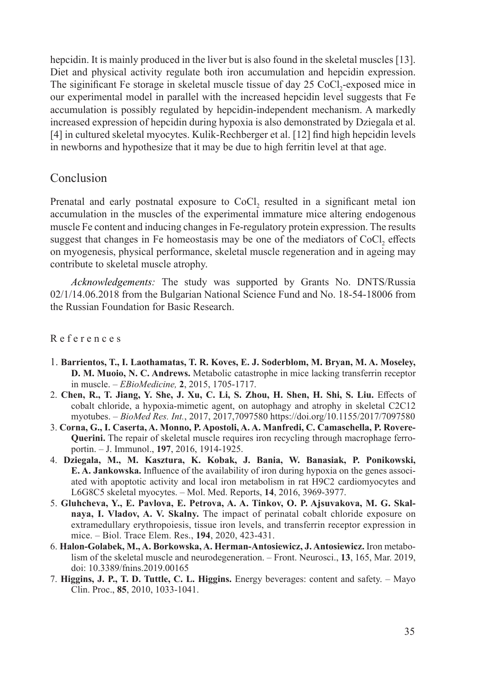hepcidin. It is mainly produced in the liver but is also found in the skeletal muscles [13]. Diet and physical activity regulate both iron accumulation and hepcidin expression. The siginificant Fe storage in skeletal muscle tissue of day 25 CoCl<sub>2</sub>-exposed mice in our experimental model in parallel with the increased hepcidin level suggests that Fe accumulation is possibly regulated by hepcidin-independent mechanism. A markedly increased expression of hepcidin during hypoxia is also demonstrated by Dziegala et al. [4] in cultured skeletal myocytes. Kulik-Rechberger et al. [12] find high hepcidin levels in newborns and hypothesize that it may be due to high ferritin level at that age.

# Conclusion

Prenatal and early postnatal exposure to CoCl<sub>2</sub> resulted in a significant metal ion accumulation in the muscles of the experimental immature mice altering endogenous muscle Fe content and inducing changes in Fe-regulatory protein expression. The results suggest that changes in Fe homeostasis may be one of the mediators of CoCl<sub>2</sub> effects on myogenesis, physical performance, skeletal muscle regeneration and in ageing may contribute to skeletal muscle atrophy.

*Acknowledgements:* The study was supported by Grants No. DNTS/Russia 02/1/14.06.2018 from the Bulgarian National Science Fund and No. 18-54-18006 from the Russian Foundation for Basic Research.

#### R e f e r e n c e s

- 1. **Barrientos, T., I. Laothamatas, T. R. Koves, E. J. Soderblom, M. Bryan, M. A. Moseley, D. M. Muoio, N. C. Andrews.** Metabolic catastrophe in mice lacking transferrin receptor in muscle. – *EBioMedicine,* **2**, 2015, 1705-1717.
- 2. **Chen, R., T. Jiang, Y. She, J. Xu, C. Li, S. Zhou, H. Shen, H. Shi, S. Liu.** Effects of cobalt chloride, a hypoxia-mimetic agent, on autophagy and atrophy in skeletal C2C12 myotubes. – *BioMed Res. Int.*, 2017, 2017,7097580 https://doi.org/10.1155/2017/7097580
- 3. **Corna, G., I. Caserta, A. Monno, P. Apostoli, A. A. Manfredi, C. Camaschella, P. Rovere-Querini.** The repair of skeletal muscle requires iron recycling through macrophage ferroportin. – J. Immunol., **197**, 2016, 1914-1925.
- 4. **Dziegala, M., M. Kasztura, K. Kobak, J. Bania, W. Banasiak, P. Ponikowski, E. A. Jankowska.** Influence of the availability of iron during hypoxia on the genes associated with apoptotic activity and local iron metabolism in rat H9C2 cardiomyocytes and L6G8C5 skeletal myocytes. – Mol. Med. Reports, **14**, 2016, 3969-3977.
- 5. **Gluhcheva, Y., E. Pavlova, E. Petrova, A. A. Tinkov, O. P. Ajsuvakova, M. G. Skalnaya, I. Vladov, A. V. Skalny.** The impact of perinatal cobalt chloride exposure on extramedullary erythropoiesis, tissue iron levels, and transferrin receptor expression in mice. – Biol. Trace Elem. Res., **194**, 2020, 423-431.
- 6. **Halon-Golabek, M., A. Borkowska, A. Herman-Antosiewicz, J. Antosiewicz.** Iron metabolism of the skeletal muscle and neurodegeneration. – Front. Neurosci., **13**, 165, Mar. 2019, doi: 10.3389/fnins.2019.00165
- 7. **Higgins, J. P., T. D. Tuttle, C. L. Higgins.** Energy beverages: content and safety. Mayo Clin. Proc., **85**, 2010, 1033-1041.